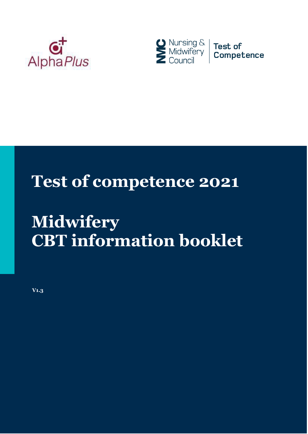



## **Test of competence 2021**

# **Midwifery CBT information booklet**

**V1.3**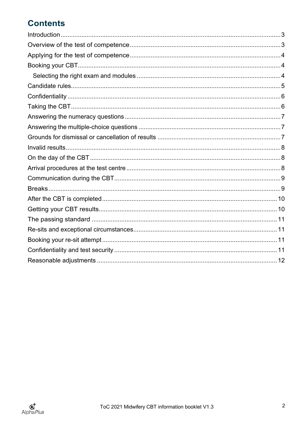### **Contents**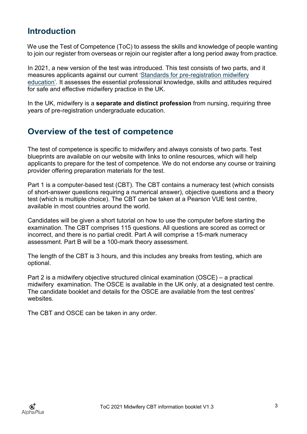#### <span id="page-2-0"></span>**Introduction**

We use the Test of Competence (ToC) to assess the skills and knowledge of people wanting to join our register from overseas or rejoin our register after a long period away from practice.

In 2021, a new version of the test was introduced. This test consists of two parts, and it measures applicants against our current ['Standards for pre-registration](https://www.nmc.org.uk/standards/standards-for-midwives/pre-2018-standards/standards-for-pre-registration-midwifery-education/) [midwifery](https://www.nmc.org.uk/standards/standards-for-midwives/pre-2018-standards/standards-for-pre-registration-midwifery-education/)  [education'](https://www.nmc.org.uk/standards/standards-for-midwives/pre-2018-standards/standards-for-pre-registration-midwifery-education/). It assesses the essential professional knowledge, skills and attitudes required for safe and effective midwifery practice in the UK.

In the UK, midwifery is a **separate and distinct profession** from nursing, requiring three years of pre-registration undergraduate education.

#### <span id="page-2-1"></span>**Overview of the test of competence**

The test of competence is specific to midwifery and always consists of two parts. Test blueprints are available on our website with links to online resources, which will help applicants to prepare for the test of competence. We do not endorse any course or training provider offering preparation materials for the test.

Part 1 is a computer-based test (CBT). The CBT contains a numeracy test (which consists of short-answer questions requiring a numerical answer), objective questions and a theory test (which is multiple choice). The CBT can be taken at a Pearson VUE test centre, available in most countries around the world.

Candidates will be given a short tutorial on how to use the computer before starting the examination. The CBT comprises 115 questions. All questions are scored as correct or incorrect, and there is no partial credit. Part A will comprise a 15-mark numeracy assessment. Part B will be a 100-mark theory assessment.

The length of the CBT is 3 hours, and this includes any breaks from testing, which are optional.

Part 2 is a midwifery objective structured clinical examination (OSCE) – a practical midwifery examination. The OSCE is available in the UK only, at a designated test centre. The candidate booklet and details for the OSCE are available from the test centres' websites.

The CBT and OSCE can be taken in any order.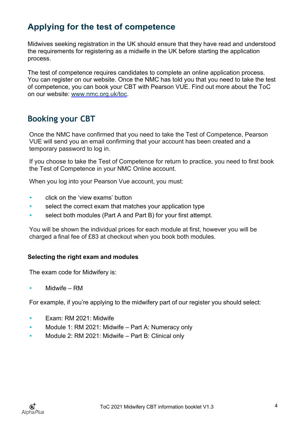#### <span id="page-3-0"></span>**Applying for the test of competence**

Midwives seeking registration in the UK should ensure that they have read and understood the requirements for registering as a midwife in the UK before starting the application process.

The test of competence requires candidates to complete an online application process. You can register on our website. Once the NMC has told you that you need to take the test of competence, you can book your CBT with Pearson VUE. Find out more about the ToC on our website: [www.nmc.org.uk/toc.](http://www.nmc.org.uk/toc)

#### <span id="page-3-1"></span>**Booking your CBT**

Once the NMC have confirmed that you need to take the Test of Competence, Pearson VUE will send you an email confirming that your account has been created and a temporary password to log in.

If you choose to take the Test of Competence for return to practice, you need to first book the Test of Competence in your NMC Online account.

When you log into your Pearson Vue account, you must:

- click on the 'view exams' button
- select the correct exam that matches your application type
- select both modules (Part A and Part B) for your first attempt.

You will be shown the individual prices for each module at first, however you will be charged a final fee of £83 at checkout when you book both modules.

#### <span id="page-3-2"></span>**Selecting the right exam and modules**

The exam code for Midwifery is:

Midwife – RM

For example, if you're applying to the midwifery part of our register you should select:

- Exam: RM 2021: Midwife
- Module 1: RM 2021: Midwife Part A: Numeracy only
- Module 2: RM 2021: Midwife Part B: Clinical only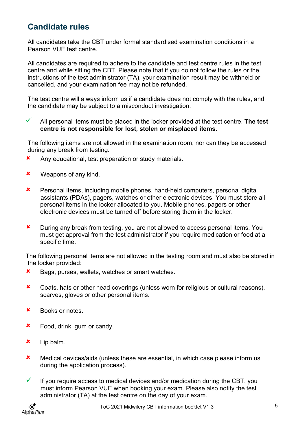#### <span id="page-4-0"></span>**Candidate rules**

All candidates take the CBT under formal standardised examination conditions in a Pearson VUE test centre.

All candidates are required to adhere to the candidate and test centre rules in the test centre and while sitting the CBT. Please note that if you do not follow the rules or the instructions of the test administrator (TA), your examination result may be withheld or cancelled, and your examination fee may not be refunded.

The test centre will always inform us if a candidate does not comply with the rules, and the candidate may be subject to a misconduct investigation.

 All personal items must be placed in the locker provided at the test centre. **The test centre is not responsible for lost, stolen or misplaced items.**

The following items are not allowed in the examination room, nor can they be accessed during any break from testing:

- **x** Any educational, test preparation or study materials.
- **x** Weapons of any kind.
- Personal items, including mobile phones, hand-held computers, personal digital assistants (PDAs), pagers, watches or other electronic devices. You must store all personal items in the locker allocated to you. Mobile phones, pagers or other electronic devices must be turned off before storing them in the locker.
- **x** During any break from testing, you are not allowed to access personal items. You must get approval from the test administrator if you require medication or food at a specific time.

The following personal items are not allowed in the testing room and must also be stored in the locker provided:

- **x** Bags, purses, wallets, watches or smart watches.
- **x** Coats, hats or other head coverings (unless worn for religious or cultural reasons), scarves, gloves or other personal items.
- Books or notes.
- **\*** Food, drink, gum or candy.
- Lip balm.
- Medical devices/aids (unless these are essential, in which case please inform us during the application process).
- $\checkmark$  If you require access to medical devices and/or medication during the CBT, you must inform Pearson VUE when booking your exam. Please also notify the test administrator (TA) at the test centre on the day of your exam.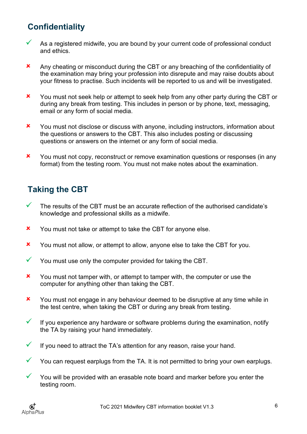#### <span id="page-5-0"></span>**Confidentiality**

- As a registered midwife, you are bound by your current code of professional conduct and ethics.
- Any cheating or misconduct during the CBT or any breaching of the confidentiality of the examination may bring your profession into disrepute and may raise doubts about your fitness to practise. Such incidents will be reported to us and will be investigated.
- X You must not seek help or attempt to seek help from any other party during the CBT or during any break from testing. This includes in person or by phone, text, messaging, email or any form of social media.
- X You must not disclose or discuss with anyone, including instructors, information about the questions or answers to the CBT. This also includes posting or discussing questions or answers on the internet or any form of social media.
- **x** You must not copy, reconstruct or remove examination questions or responses (in any format) from the testing room. You must not make notes about the examination.

#### <span id="page-5-1"></span>**Taking the CBT**

- $\checkmark$  The results of the CBT must be an accurate reflection of the authorised candidate's knowledge and professional skills as a midwife.
- **x** You must not take or attempt to take the CBT for anyone else.
- X You must not allow, or attempt to allow, anyone else to take the CBT for you.
- $\checkmark$  You must use only the computer provided for taking the CBT.
- X You must not tamper with, or attempt to tamper with, the computer or use the computer for anything other than taking the CBT.
- X You must not engage in any behaviour deemed to be disruptive at any time while in the test centre, when taking the CBT or during any break from testing.
- $\checkmark$  If you experience any hardware or software problems during the examination, notify the TA by raising your hand immediately.
- $\checkmark$  If you need to attract the TA's attention for any reason, raise your hand.
- $\checkmark$  You can request earplugs from the TA. It is not permitted to bring your own earplugs.
- $\checkmark$  You will be provided with an erasable note board and marker before you enter the testing room.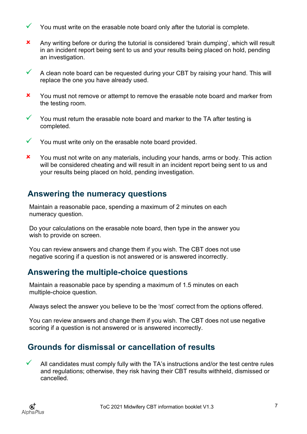- You must write on the erasable note board only after the tutorial is complete.
- Any writing before or during the tutorial is considered 'brain dumping', which will result in an incident report being sent to us and your results being placed on hold, pending an investigation.
- $\checkmark$  A clean note board can be requested during your CBT by raising your hand. This will replace the one you have already used.
- X You must not remove or attempt to remove the erasable note board and marker from the testing room.
- $\checkmark$  You must return the erasable note board and marker to the TA after testing is completed.
- $\checkmark$  You must write only on the erasable note board provided.
- **x** You must not write on any materials, including your hands, arms or body. This action will be considered cheating and will result in an incident report being sent to us and your results being placed on hold, pending investigation.

#### <span id="page-6-0"></span>**Answering the numeracy questions**

Maintain a reasonable pace, spending a maximum of 2 minutes on each numeracy question.

Do your calculations on the erasable note board, then type in the answer you wish to provide on screen.

You can review answers and change them if you wish. The CBT does not use negative scoring if a question is not answered or is answered incorrectly.

#### <span id="page-6-1"></span>**Answering the multiple-choice questions**

Maintain a reasonable pace by spending a maximum of 1.5 minutes on each multiple-choice question.

Always select the answer you believe to be the 'most' correct from the options offered.

You can review answers and change them if you wish. The CBT does not use negative scoring if a question is not answered or is answered incorrectly.

#### <span id="page-6-2"></span>**Grounds for dismissal or cancellation of results**

 All candidates must comply fully with the TA's instructions and/or the test centre rules and regulations; otherwise, they risk having their CBT results withheld, dismissed or cancelled.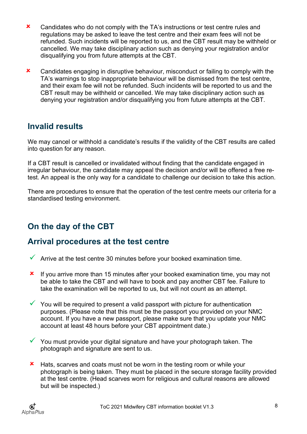- **x** Candidates who do not comply with the TA's instructions or test centre rules and regulations may be asked to leave the test centre and their exam fees will not be refunded. Such incidents will be reported to us, and the CBT result may be withheld or cancelled. We may take disciplinary action such as denying your registration and/or disqualifying you from future attempts at the CBT.
- **x** Candidates engaging in disruptive behaviour, misconduct or failing to comply with the TA's warnings to stop inappropriate behaviour will be dismissed from the test centre, and their exam fee will not be refunded. Such incidents will be reported to us and the CBT result may be withheld or cancelled. We may take disciplinary action such as denying your registration and/or disqualifying you from future attempts at the CBT.

#### <span id="page-7-0"></span>**Invalid results**

We may cancel or withhold a candidate's results if the validity of the CBT results are called into question for any reason.

If a CBT result is cancelled or invalidated without finding that the candidate engaged in irregular behaviour, the candidate may appeal the decision and/or will be offered a free retest. An appeal is the only way for a candidate to challenge our decision to take this action.

There are procedures to ensure that the operation of the test centre meets our criteria for a standardised testing environment.

#### <span id="page-7-1"></span>**On the day of the CBT**

#### <span id="page-7-2"></span>**Arrival procedures at the test centre**

- $\checkmark$  Arrive at the test centre 30 minutes before your booked examination time.
- **x** If you arrive more than 15 minutes after your booked examination time, you may not be able to take the CBT and will have to book and pay another CBT fee. Failure to take the examination will be reported to us, but will not count as an attempt.
- $\checkmark$  You will be required to present a valid passport with picture for authentication purposes. (Please note that this must be the passport you provided on your NMC account. If you have a new passport, please make sure that you update your NMC account at least 48 hours before your CBT appointment date.)
- $\checkmark$  You must provide your digital signature and have your photograph taken. The photograph and signature are sent to us.
- **\*** Hats, scarves and coats must not be worn in the testing room or while your photograph is being taken. They must be placed in the secure storage facility provided at the test centre. (Head scarves worn for religious and cultural reasons are allowed but will be inspected.)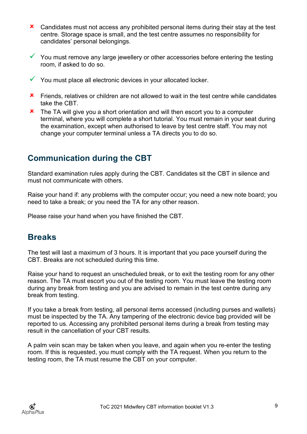- **x** Candidates must not access any prohibited personal items during their stay at the test centre. Storage space is small, and the test centre assumes no responsibility for candidates' personal belongings.
- $\checkmark$  You must remove any large jewellery or other accessories before entering the testing room, if asked to do so.
- $\checkmark$  You must place all electronic devices in your allocated locker.
- **\*** Friends, relatives or children are not allowed to wait in the test centre while candidates take the CBT.
- **x** The TA will give you a short orientation and will then escort you to a computer terminal, where you will complete a short tutorial. You must remain in your seat during the examination, except when authorised to leave by test centre staff. You may not change your computer terminal unless a TA directs you to do so.

#### <span id="page-8-0"></span>**Communication during the CBT**

Standard examination rules apply during the CBT. Candidates sit the CBT in silence and must not communicate with others.

Raise your hand if: any problems with the computer occur; you need a new note board; you need to take a break; or you need the TA for any other reason.

Please raise your hand when you have finished the CBT.

#### <span id="page-8-1"></span>**Breaks**

The test will last a maximum of 3 hours. It is important that you pace yourself during the CBT. Breaks are not scheduled during this time.

Raise your hand to request an unscheduled break, or to exit the testing room for any other reason. The TA must escort you out of the testing room. You must leave the testing room during any break from testing and you are advised to remain in the test centre during any break from testing.

If you take a break from testing, all personal items accessed (including purses and wallets) must be inspected by the TA. Any tampering of the electronic device bag provided will be reported to us. Accessing any prohibited personal items during a break from testing may result in the cancellation of your CBT results.

A palm vein scan may be taken when you leave, and again when you re-enter the testing room. If this is requested, you must comply with the TA request. When you return to the testing room, the TA must resume the CBT on your computer.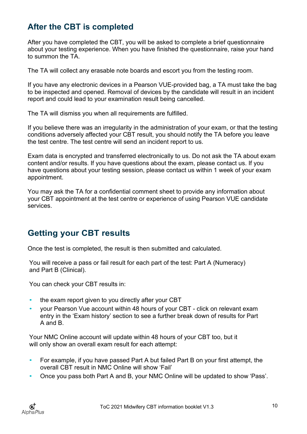#### <span id="page-9-0"></span>**After the CBT is completed**

After you have completed the CBT, you will be asked to complete a brief questionnaire about your testing experience. When you have finished the questionnaire, raise your hand to summon the TA.

The TA will collect any erasable note boards and escort you from the testing room.

If you have any electronic devices in a Pearson VUE-provided bag, a TA must take the bag to be inspected and opened. Removal of devices by the candidate will result in an incident report and could lead to your examination result being cancelled.

The TA will dismiss you when all requirements are fulfilled.

If you believe there was an irregularity in the administration of your exam, or that the testing conditions adversely affected your CBT result, you should notify the TA before you leave the test centre. The test centre will send an incident report to us.

Exam data is encrypted and transferred electronically to us. Do not ask the TA about exam content and/or results. If you have questions about the exam, please contact us. If you have questions about your testing session, please contact us within 1 week of your exam appointment.

You may ask the TA for a confidential comment sheet to provide any information about your CBT appointment at the test centre or experience of using Pearson VUE candidate services.

#### <span id="page-9-1"></span>**Getting your CBT results**

Once the test is completed, the result is then submitted and calculated.

You will receive a pass or fail result for each part of the test: Part A (Numeracy) and Part B (Clinical).

You can check your CBT results in:

- the exam report given to you directly after your CBT
- your Pearson Vue account within 48 hours of your CBT click on relevant exam entry in the 'Exam history' section to see a further break down of results for Part A and B.

Your NMC Online account will update within 48 hours of your CBT too, but it will only show an overall exam result for each attempt:

- For example, if you have passed Part A but failed Part B on your first attempt, the overall CBT result in NMC Online will show 'Fail'
- Once you pass both Part A and B, your NMC Online will be updated to show 'Pass'.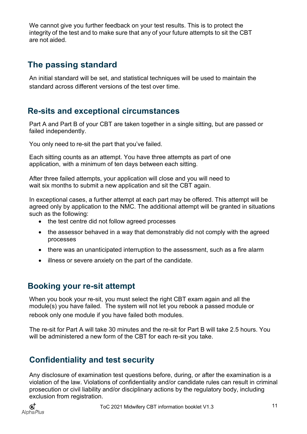We cannot give you further feedback on your test results. This is to protect the integrity of the test and to make sure that any of your future attempts to sit the CBT are not aided.

#### <span id="page-10-0"></span>**The passing standard**

An initial standard will be set, and statistical techniques will be used to maintain the standard across different versions of the test over time.

#### <span id="page-10-1"></span>**Re-sits and exceptional circumstances**

Part A and Part B of your CBT are taken together in a single sitting, but are passed or failed independently.

You only need to re-sit the part that you've failed.

Each sitting counts as an attempt. You have three attempts as part of one application, with a minimum of ten days between each sitting.

After three failed attempts, your application will close and you will need to wait six months to submit a new application and sit the CBT again.

In exceptional cases, a further attempt at each part may be offered. This attempt will be agreed only by application to the NMC. The additional attempt will be granted in situations such as the following:

- the test centre did not follow agreed processes
- the assessor behaved in a way that demonstrably did not comply with the agreed processes
- there was an unanticipated interruption to the assessment, such as a fire alarm
- illness or severe anxiety on the part of the candidate.

#### <span id="page-10-2"></span>**Booking your re-sit attempt**

When you book your re-sit, you must select the right CBT exam again and all the module(s) you have failed. The system will not let you rebook a passed module or rebook only one module if you have failed both modules.

The re-sit for Part A will take 30 minutes and the re-sit for Part B will take 2.5 hours. You will be administered a new form of the CBT for each re-sit you take.

#### <span id="page-10-3"></span>**Confidentiality and test security**

Any disclosure of examination test questions before, during, or after the examination is a violation of the law. Violations of confidentiality and/or candidate rules can result in criminal prosecution or civil liability and/or disciplinary actions by the regulatory body, including exclusion from registration.